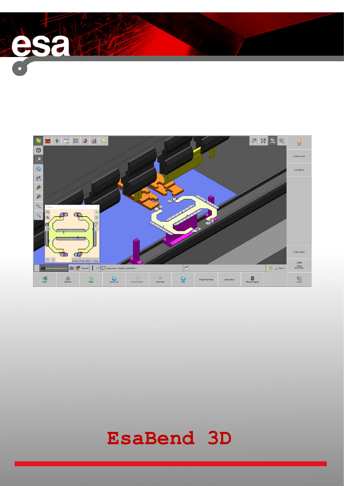

 $\rightarrow$ 

# **EsaBend 3D**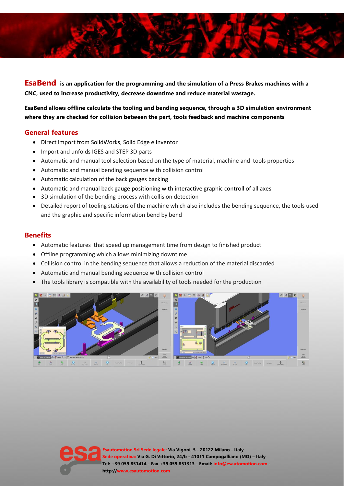

**EsaBend is an application for the programming and the simulation of a Press Brakes machines with a CNC, used to increase productivity, decrease downtime and reduce material wastage.**

**EsaBend allows offline calculate the tooling and bending sequence, through a 3D simulation environment where they are checked for collision between the part, tools feedback and machine components**

## **General features**

- Direct import from SolidWorks, Solid Edge e Inventor
- Import and unfolds IGES and STEP 3D parts
- Automatic and manual tool selection based on the type of material, machine and tools properties
- Automatic and manual bending sequence with collision control
- Automatic calculation of the back gauges backing
- Automatic and manual back gauge positioning with interactive graphic controll of all axes
- 3D simulation of the bending process with collision detection
- Detailed report of tooling stations of the machine which also includes the bending sequence, the tools used and the graphic and specific information bend by bend

## **Benefits**

- Automatic features that speed up management time from design to finished product
- Offline programming which allows minimizing downtime
- Collision control in the bending sequence that allows a reduction of the material discarded
- Automatic and manual bending sequence with collision control
- The tools library is compatible with the availability of tools needed for the production



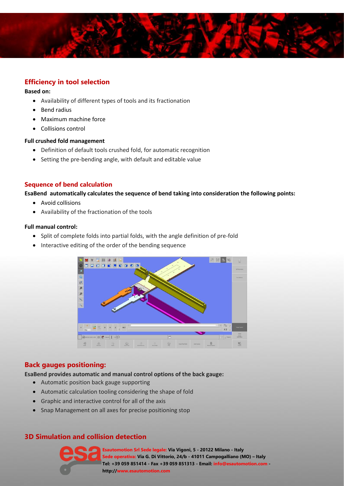

# **Efficiency in tool selection**

#### **Based on:**

- Availability of different types of tools and its fractionation
- Bend radius
- Maximum machine force
- Collisions control

### **Full crushed fold management**

- Definition of default tools crushed fold, for automatic recognition
- Setting the pre-bending angle, with default and editable value

## **Sequence of bend calculation**

**EsaBend automatically calculates the sequence of bend taking into consideration the following points:**

- Avoid collisions
- Availability of the fractionation of the tools

### **Full manual control:**

- Split of complete folds into partial folds, with the angle definition of pre-fold
- Interactive editing of the order of the bending sequence



## **Back gauges positioning:**

#### **EsaBend provides automatic and manual control options of the back gauge:**

- Automatic position back gauge supporting
- Automatic calculation tooling considering the shape of fold
- Graphic and interactive control for all of the axis
- Snap Management on all axes for precise positioning stop

# **3D Simulation and collision detection**



**Esautomotion Srl Sede legale: Via Vigoni, 5 - 20122 Milano - Italy Sede operativa: Via G. Di Vittorio, 24/b - 41011 Campogalliano (MO) – Italy Tel: +39 059 851414 - Fax +39 059 851313 - Email: info@esautomotion.com http://www.esautomotion.com**